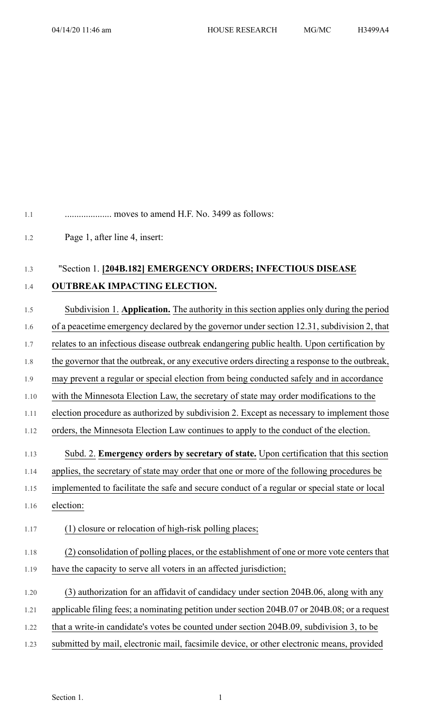1.1 .................... moves to amend H.F. No. 3499 as follows:

1.2 Page 1, after line 4, insert:

## 1.3 "Section 1. **[204B.182] EMERGENCY ORDERS; INFECTIOUS DISEASE**

## 1.4 **OUTBREAK IMPACTING ELECTION.**

1.5 Subdivision 1. **Application.** The authority in this section applies only during the period 1.6 of a peacetime emergency declared by the governor under section 12.31, subdivision 2, that

- 1.7 relates to an infectious disease outbreak endangering public health. Upon certification by
- 1.8 the governor that the outbreak, or any executive orders directing a response to the outbreak,
- 1.9 may prevent a regular or special election from being conducted safely and in accordance
- 1.10 with the Minnesota Election Law, the secretary of state may order modifications to the
- 1.11 election procedure as authorized by subdivision 2. Except as necessary to implement those
- 1.12 orders, the Minnesota Election Law continues to apply to the conduct of the election.
- 1.13 Subd. 2. **Emergency orders by secretary of state.** Upon certification that this section
- 1.14 applies, the secretary of state may order that one or more of the following procedures be
- 1.15 implemented to facilitate the safe and secure conduct of a regular or special state or local
- 1.16 election:
- 1.17 (1) closure or relocation of high-risk polling places;
- 1.18 (2) consolidation of polling places, or the establishment of one or more vote centers that 1.19 have the capacity to serve all voters in an affected jurisdiction;
- 1.20 (3) authorization for an affidavit of candidacy under section 204B.06, along with any
- 1.21 applicable filing fees; a nominating petition under section 204B.07 or 204B.08; or a request
- 1.22 that a write-in candidate's votes be counted under section 204B.09, subdivision 3, to be
- 1.23 submitted by mail, electronic mail, facsimile device, or other electronic means, provided